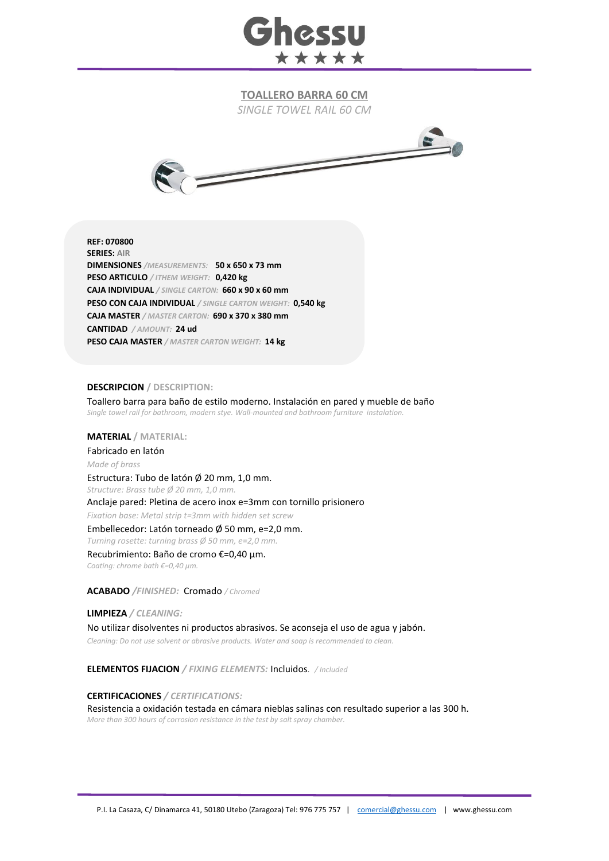

**TOALLERO BARRA 60 CM**

*SINGLE TOWEL RAIL 60 CM*



**REF: 070800 SERIES: AIR DIMENSIONES** */MEASUREMENTS:* **50 x 650 x 73 mm PESO ARTICULO** */ ITHEM WEIGHT:* **0,420 kg CAJA INDIVIDUAL** */ SINGLE CARTON:* **660 x 90 x 60 mm PESO CON CAJA INDIVIDUAL** */ SINGLE CARTON WEIGHT:* **0,540 kg CAJA MASTER** */ MASTER CARTON:* **690 x 370 x 380 mm CANTIDAD** */ AMOUNT:* **24 ud PESO CAJA MASTER** */ MASTER CARTON WEIGHT:* **14 kg**

## **DESCRIPCION / DESCRIPTION:**

Toallero barra para baño de estilo moderno. Instalación en pared y mueble de baño *Single towel rail for bathroom, modern stye. Wall-mounted and bathroom furniture instalation.*

**MATERIAL / MATERIAL:** 

Fabricado en latón

*Made of brass*

Estructura: Tubo de latón Ø 20 mm, 1,0 mm. *Structure: Brass tube Ø 20 mm, 1,0 mm.*  Anclaje pared: Pletina de acero inox e=3mm con tornillo prisionero *Fixation base: Metal strip t=3mm with hidden set screw*

Embellecedor: Latón torneado Ø 50 mm, e=2,0 mm.

*Turning rosette: turning brass Ø 50 mm, e=2,0 mm.*

Recubrimiento: Baño de cromo €=0,40 μm.

*Coating: chrome bath €=0,40 μm.*

**ACABADO** */FINISHED:*Cromado */ Chromed*

**LIMPIEZA** */ CLEANING:*

No utilizar disolventes ni productos abrasivos. Se aconseja el uso de agua y jabón. *Cleaning: Do not use solvent or abrasive products. Water and soap is recommended to clean.*

**ELEMENTOS FIJACION** */ FIXING ELEMENTS:* Incluidos*. / Included*

## **CERTIFICACIONES** */ CERTIFICATIONS:*

Resistencia a oxidación testada en cámara nieblas salinas con resultado superior a las 300 h. *More than 300 hours of corrosion resistance in the test by salt spray chamber.*